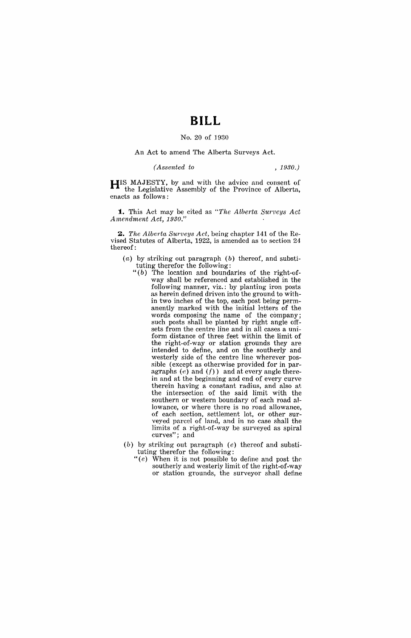## **BILL**

## No. 20 of 1930

## An Act to amend The Alberta Surveys Act.

*(Assented to , 1930.)* 

HIS MAJESTY, by and with the advice and consent of the Legislative Assembly of the Province of Alberta, enacts as follows:

**1.** This Act may be cited as "The Alberta Surveys Act *Amendment Act, 1930."* 

2. *The Alberta Surveys Act, being chapter 141 of the Re*vised Statutes of Alberta, 1922, is amended as to section  $24$ thereof:

- (a) by striking out paragraph  $(b)$  thereof, and substituting therefor the following:
	- $"(b)$  The location and boundaries of the right-ofway shall be referenced and established in the following manner, viz.: by planting iron posts as herein defined driven into the ground to within two inches of the top, each post being permanently marked with the initial letters of the words composing the name of the company; such posts shall be planted by right angle offsets from the centre line and in all cases a uniform distance of three feet within the limit of the right-of-way or station grounds they are intended to define, and on the southerly and westerly side of the centre line wherever possible (except as otherwise provided for in paragraphs  $(e)$  and  $(f)$ ) and at every angle therein and at the beginning and end of every curve therein having a constant radius, and also at the intersection of the said limit with the southern or western boundary of each road allowance, or where there is no road allowance, of each section, settlement lot, or other surveyed parcel of land, and in no case shall the limits of a right-of-way be surveyed as spiral curves"; and
- (b) by striking out paragraph (e) thereof and substituting therefor the following:
	- "(e) When it is not possible to define and post the southerly and westerly limit of the right-of-way or station grounds, the surveyor shall define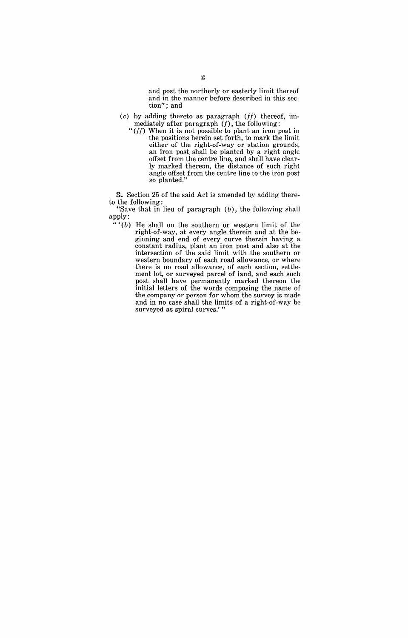and post the northerly or easterly limit thereof and in the manner before described in this section"; and

- $(c)$  by adding thereto as paragraph  $(ff)$  thereof, immediately after paragraph  $(f)$ , the following:
	- " $(ff)$  When it is not possible to plant an iron post in the positions herein set forth, to mark the limit either of the right-of-way or station grounds, an iron post. shall be planted by a right angle offset from the centre line, and shall have clearly marked thereon, the distance of such right angle offset from the centre line to the iron post so planted."

**3.** Section 25 of the said Act is amended by adding thereto the following:

"Save that in lieu of paragraph  $(b)$ , the following shall apply:

 $``(b)$  He shall on the southern or western limit of the right-of-way, at every angle therein and at the beginning and end of every curve therein having a constant radius, plant an iron post and also at the intersection of the said limit with the southern or western boundary of each road allowance, or where there is no road allowance, of each section, settlement lot, or surveyed parcel of land, and each such post shall have permanently marked thereon the initial letters of the words composing the name of the company or person for whom the survey is made and in no case shall the limits of a right-of-way be surveyed as spiral curves.'"